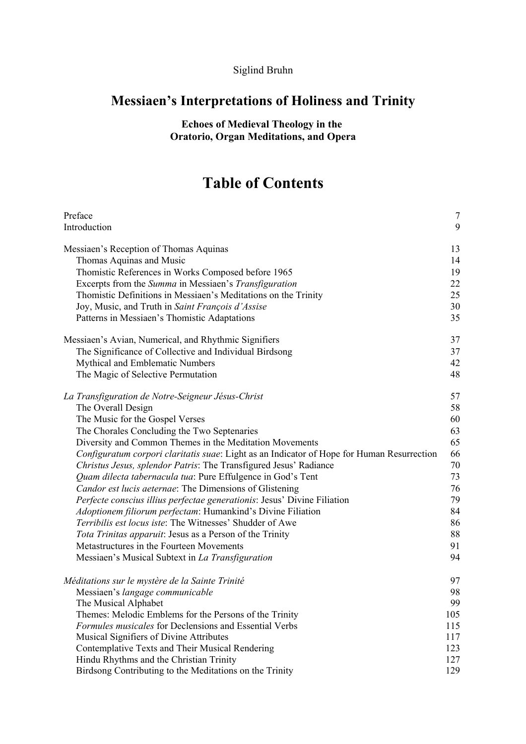## Siglind Bruhn

## **Messiaen's Interpretations of Holiness and Trinity**

**Echoes of Medieval Theology in the Oratorio, Organ Meditations, and Opera**

## **Table of Contents**

| Preface                                                                                    | $\overline{7}$ |
|--------------------------------------------------------------------------------------------|----------------|
| Introduction                                                                               | 9              |
| Messiaen's Reception of Thomas Aquinas                                                     | 13             |
| Thomas Aquinas and Music                                                                   | 14             |
| Thomistic References in Works Composed before 1965                                         | 19             |
| Excerpts from the Summa in Messiaen's Transfiguration                                      | 22             |
| Thomistic Definitions in Messiaen's Meditations on the Trinity                             | 25             |
| Joy, Music, and Truth in Saint François d'Assise                                           | 30             |
| Patterns in Messiaen's Thomistic Adaptations                                               | 35             |
| Messiaen's Avian, Numerical, and Rhythmic Signifiers                                       | 37             |
| The Significance of Collective and Individual Birdsong                                     | 37             |
| Mythical and Emblematic Numbers                                                            | 42             |
| The Magic of Selective Permutation                                                         | 48             |
| La Transfiguration de Notre-Seigneur Jésus-Christ                                          | 57             |
| The Overall Design                                                                         | 58             |
| The Music for the Gospel Verses                                                            | 60             |
| The Chorales Concluding the Two Septenaries                                                | 63             |
| Diversity and Common Themes in the Meditation Movements                                    | 65             |
| Configuratum corpori claritatis suae: Light as an Indicator of Hope for Human Resurrection | 66             |
| Christus Jesus, splendor Patris: The Transfigured Jesus' Radiance                          | 70             |
| Quam dilecta tabernacula tua: Pure Effulgence in God's Tent                                | 73             |
| Candor est lucis aeternae: The Dimensions of Glistening                                    | 76             |
| Perfecte conscius illius perfectae generationis: Jesus' Divine Filiation                   | 79             |
| <i>Adoptionem filiorum perfectam:</i> Humankind's Divine Filiation                         | 84             |
| Terribilis est locus iste: The Witnesses' Shudder of Awe                                   | 86             |
| Tota Trinitas apparuit: Jesus as a Person of the Trinity                                   | 88             |
| Metastructures in the Fourteen Movements                                                   | 91             |
| Messiaen's Musical Subtext in La Transfiguration                                           | 94             |
| Méditations sur le mystère de la Sainte Trinité                                            | 97             |
| Messiaen's langage communicable                                                            | 98             |
| The Musical Alphabet                                                                       | 99             |
| Themes: Melodic Emblems for the Persons of the Trinity                                     | 105            |
| Formules musicales for Declensions and Essential Verbs                                     | 115            |
| Musical Signifiers of Divine Attributes                                                    | 117            |
| Contemplative Texts and Their Musical Rendering                                            | 123            |
| Hindu Rhythms and the Christian Trinity                                                    | 127            |
| Birdsong Contributing to the Meditations on the Trinity                                    | 129            |